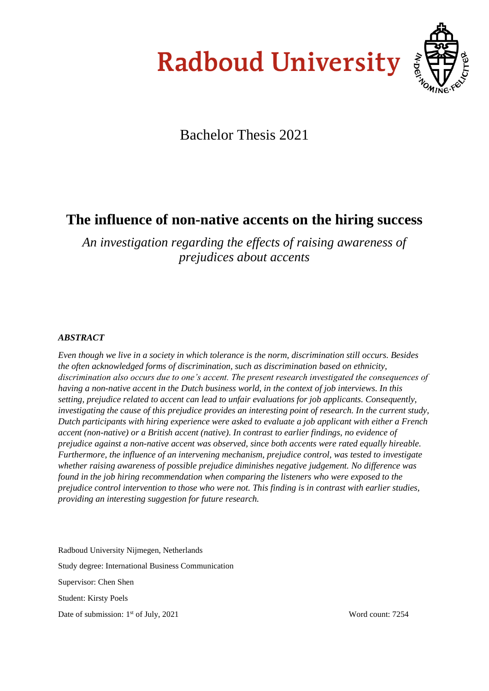# **Radboud University**



## Bachelor Thesis 2021

## **The influence of non-native accents on the hiring success**

*An investigation regarding the effects of raising awareness of prejudices about accents* 

#### *ABSTRACT*

*Even though we live in a society in which tolerance is the norm, discrimination still occurs. Besides the often acknowledged forms of discrimination, such as discrimination based on ethnicity, discrimination also occurs due to one's accent. The present research investigated the consequences of having a non-native accent in the Dutch business world, in the context of job interviews. In this setting, prejudice related to accent can lead to unfair evaluations for job applicants. Consequently, investigating the cause of this prejudice provides an interesting point of research. In the current study, Dutch participants with hiring experience were asked to evaluate a job applicant with either a French accent (non-native) or a British accent (native). In contrast to earlier findings, no evidence of prejudice against a non-native accent was observed, since both accents were rated equally hireable. Furthermore, the influence of an intervening mechanism, prejudice control, was tested to investigate whether raising awareness of possible prejudice diminishes negative judgement. No difference was found in the job hiring recommendation when comparing the listeners who were exposed to the prejudice control intervention to those who were not. This finding is in contrast with earlier studies, providing an interesting suggestion for future research.*

Radboud University Nijmegen, Netherlands Study degree: International Business Communication Supervisor: Chen Shen Student: Kirsty Poels Date of submission: 1<sup>st</sup> of July, 2021

Word count: 7254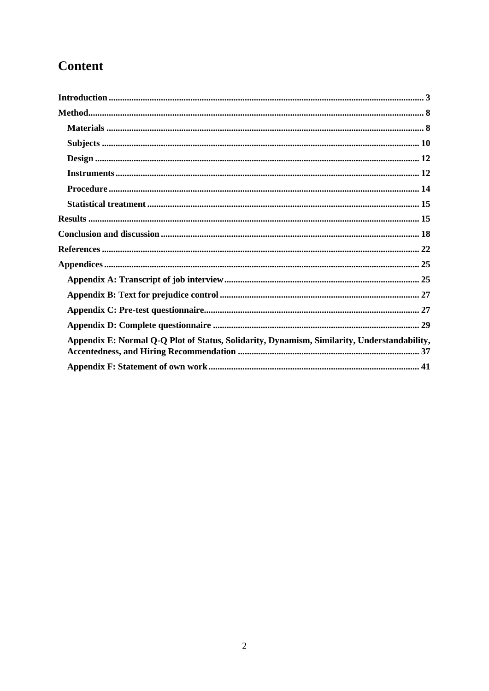## **Content**

| Appendix E: Normal Q-Q Plot of Status, Solidarity, Dynamism, Similarity, Understandability, |  |
|---------------------------------------------------------------------------------------------|--|
|                                                                                             |  |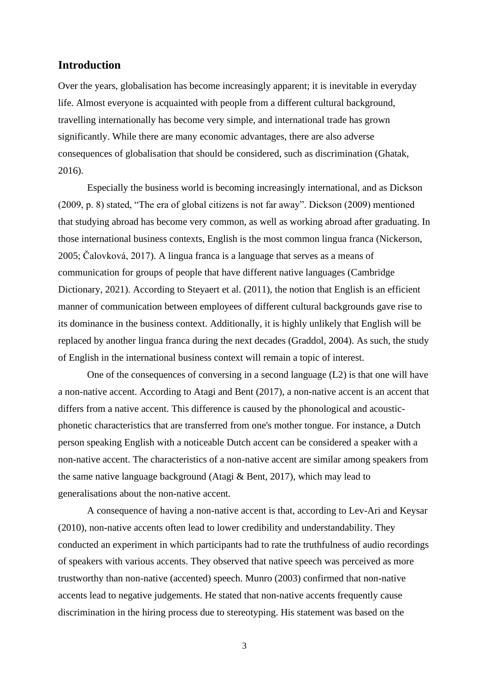#### <span id="page-2-0"></span>**Introduction**

Over the years, globalisation has become increasingly apparent; it is inevitable in everyday life. Almost everyone is acquainted with people from a different cultural background, travelling internationally has become very simple, and international trade has grown significantly. While there are many economic advantages, there are also adverse consequences of globalisation that should be considered, such as discrimination (Ghatak, 2016).

Especially the business world is becoming increasingly international, and as Dickson (2009, p. 8) stated, "The era of global citizens is not far away". Dickson (2009) mentioned that studying abroad has become very common, as well as working abroad after graduating. In those international business contexts, English is the most common lingua franca (Nickerson, 2005; Čalovková, 2017). A lingua franca is a language that serves as a means of communication for groups of people that have different native languages (Cambridge Dictionary, 2021). According to Steyaert et al. (2011), the notion that English is an efficient manner of communication between employees of different cultural backgrounds gave rise to its dominance in the business context. Additionally, it is highly unlikely that English will be replaced by another lingua franca during the next decades (Graddol, 2004). As such, the study of English in the international business context will remain a topic of interest.

One of the consequences of conversing in a second language (L2) is that one will have a non-native accent. According to Atagi and Bent (2017), a non-native accent is an accent that differs from a native accent. This difference is caused by the phonological and acousticphonetic characteristics that are transferred from one's mother tongue. For instance, a Dutch person speaking English with a noticeable Dutch accent can be considered a speaker with a non-native accent. The characteristics of a non-native accent are similar among speakers from the same native language background (Atagi & Bent, 2017), which may lead to generalisations about the non-native accent.

A consequence of having a non-native accent is that, according to Lev-Ari and Keysar (2010), non-native accents often lead to lower credibility and understandability. They conducted an experiment in which participants had to rate the truthfulness of audio recordings of speakers with various accents. They observed that native speech was perceived as more trustworthy than non-native (accented) speech. Munro (2003) confirmed that non-native accents lead to negative judgements. He stated that non-native accents frequently cause discrimination in the hiring process due to stereotyping. His statement was based on the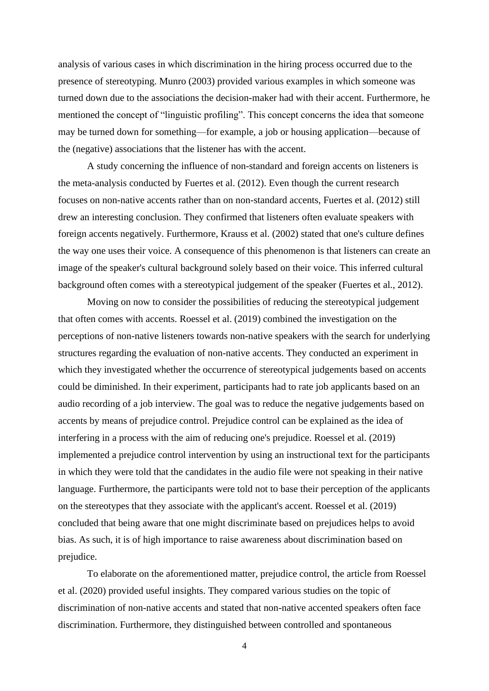analysis of various cases in which discrimination in the hiring process occurred due to the presence of stereotyping. Munro (2003) provided various examples in which someone was turned down due to the associations the decision-maker had with their accent. Furthermore, he mentioned the concept of "linguistic profiling". This concept concerns the idea that someone may be turned down for something—for example, a job or housing application—because of the (negative) associations that the listener has with the accent.

A study concerning the influence of non-standard and foreign accents on listeners is the meta-analysis conducted by Fuertes et al. (2012). Even though the current research focuses on non-native accents rather than on non-standard accents, Fuertes et al. (2012) still drew an interesting conclusion. They confirmed that listeners often evaluate speakers with foreign accents negatively. Furthermore, Krauss et al. (2002) stated that one's culture defines the way one uses their voice. A consequence of this phenomenon is that listeners can create an image of the speaker's cultural background solely based on their voice. This inferred cultural background often comes with a stereotypical judgement of the speaker (Fuertes et al., 2012).

Moving on now to consider the possibilities of reducing the stereotypical judgement that often comes with accents. Roessel et al. (2019) combined the investigation on the perceptions of non-native listeners towards non-native speakers with the search for underlying structures regarding the evaluation of non-native accents. They conducted an experiment in which they investigated whether the occurrence of stereotypical judgements based on accents could be diminished. In their experiment, participants had to rate job applicants based on an audio recording of a job interview. The goal was to reduce the negative judgements based on accents by means of prejudice control. Prejudice control can be explained as the idea of interfering in a process with the aim of reducing one's prejudice. Roessel et al. (2019) implemented a prejudice control intervention by using an instructional text for the participants in which they were told that the candidates in the audio file were not speaking in their native language. Furthermore, the participants were told not to base their perception of the applicants on the stereotypes that they associate with the applicant's accent. Roessel et al. (2019) concluded that being aware that one might discriminate based on prejudices helps to avoid bias. As such, it is of high importance to raise awareness about discrimination based on prejudice.

To elaborate on the aforementioned matter, prejudice control, the article from Roessel et al. (2020) provided useful insights. They compared various studies on the topic of discrimination of non-native accents and stated that non-native accented speakers often face discrimination. Furthermore, they distinguished between controlled and spontaneous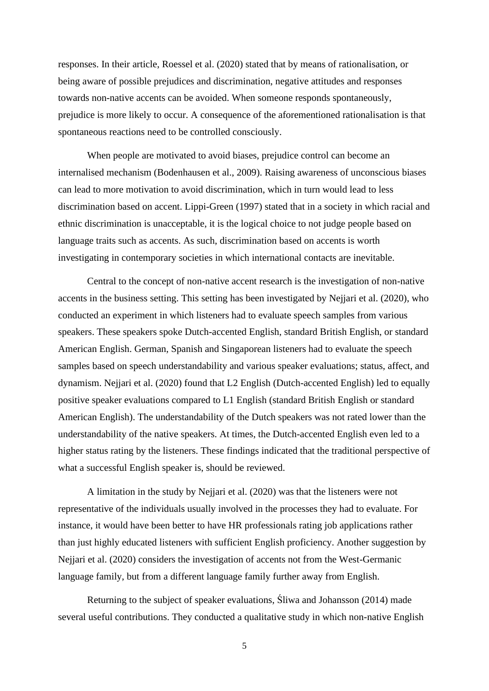responses. In their article, Roessel et al. (2020) stated that by means of rationalisation, or being aware of possible prejudices and discrimination, negative attitudes and responses towards non-native accents can be avoided. When someone responds spontaneously, prejudice is more likely to occur. A consequence of the aforementioned rationalisation is that spontaneous reactions need to be controlled consciously.

When people are motivated to avoid biases, prejudice control can become an internalised mechanism (Bodenhausen et al., 2009). Raising awareness of unconscious biases can lead to more motivation to avoid discrimination, which in turn would lead to less discrimination based on accent. Lippi-Green (1997) stated that in a society in which racial and ethnic discrimination is unacceptable, it is the logical choice to not judge people based on language traits such as accents. As such, discrimination based on accents is worth investigating in contemporary societies in which international contacts are inevitable.

Central to the concept of non-native accent research is the investigation of non-native accents in the business setting. This setting has been investigated by Nejjari et al. (2020), who conducted an experiment in which listeners had to evaluate speech samples from various speakers. These speakers spoke Dutch-accented English, standard British English, or standard American English. German, Spanish and Singaporean listeners had to evaluate the speech samples based on speech understandability and various speaker evaluations; status, affect, and dynamism. Nejjari et al. (2020) found that L2 English (Dutch-accented English) led to equally positive speaker evaluations compared to L1 English (standard British English or standard American English). The understandability of the Dutch speakers was not rated lower than the understandability of the native speakers. At times, the Dutch-accented English even led to a higher status rating by the listeners. These findings indicated that the traditional perspective of what a successful English speaker is, should be reviewed.

A limitation in the study by Nejjari et al. (2020) was that the listeners were not representative of the individuals usually involved in the processes they had to evaluate. For instance, it would have been better to have HR professionals rating job applications rather than just highly educated listeners with sufficient English proficiency. Another suggestion by Nejjari et al. (2020) considers the investigation of accents not from the West-Germanic language family, but from a different language family further away from English.

Returning to the subject of speaker evaluations, Śliwa and Johansson (2014) made several useful contributions. They conducted a qualitative study in which non-native English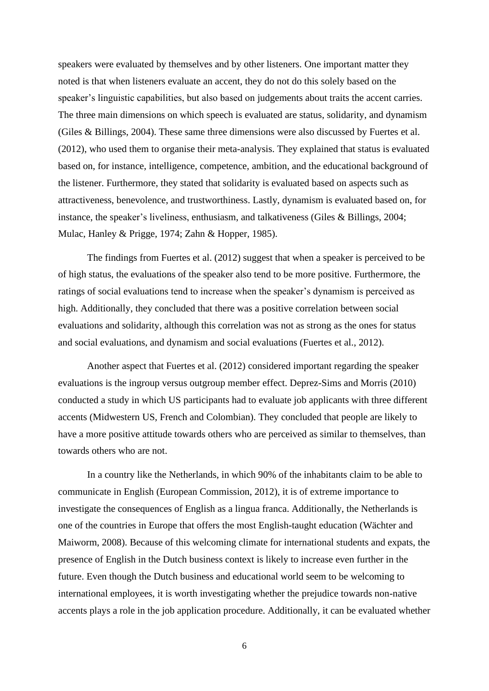speakers were evaluated by themselves and by other listeners. One important matter they noted is that when listeners evaluate an accent, they do not do this solely based on the speaker's linguistic capabilities, but also based on judgements about traits the accent carries. The three main dimensions on which speech is evaluated are status, solidarity, and dynamism (Giles & Billings, 2004). These same three dimensions were also discussed by Fuertes et al. (2012), who used them to organise their meta-analysis. They explained that status is evaluated based on, for instance, intelligence, competence, ambition, and the educational background of the listener. Furthermore, they stated that solidarity is evaluated based on aspects such as attractiveness, benevolence, and trustworthiness. Lastly, dynamism is evaluated based on, for instance, the speaker's liveliness, enthusiasm, and talkativeness (Giles & Billings, 2004; Mulac, Hanley & Prigge, 1974; Zahn & Hopper, 1985).

The findings from Fuertes et al. (2012) suggest that when a speaker is perceived to be of high status, the evaluations of the speaker also tend to be more positive. Furthermore, the ratings of social evaluations tend to increase when the speaker's dynamism is perceived as high. Additionally, they concluded that there was a positive correlation between social evaluations and solidarity, although this correlation was not as strong as the ones for status and social evaluations, and dynamism and social evaluations (Fuertes et al., 2012).

Another aspect that Fuertes et al. (2012) considered important regarding the speaker evaluations is the ingroup versus outgroup member effect. Deprez-Sims and Morris (2010) conducted a study in which US participants had to evaluate job applicants with three different accents (Midwestern US, French and Colombian). They concluded that people are likely to have a more positive attitude towards others who are perceived as similar to themselves, than towards others who are not.

In a country like the Netherlands, in which 90% of the inhabitants claim to be able to communicate in English (European Commission, 2012), it is of extreme importance to investigate the consequences of English as a lingua franca. Additionally, the Netherlands is one of the countries in Europe that offers the most English-taught education (Wächter and Maiworm, 2008). Because of this welcoming climate for international students and expats, the presence of English in the Dutch business context is likely to increase even further in the future. Even though the Dutch business and educational world seem to be welcoming to international employees, it is worth investigating whether the prejudice towards non-native accents plays a role in the job application procedure. Additionally, it can be evaluated whether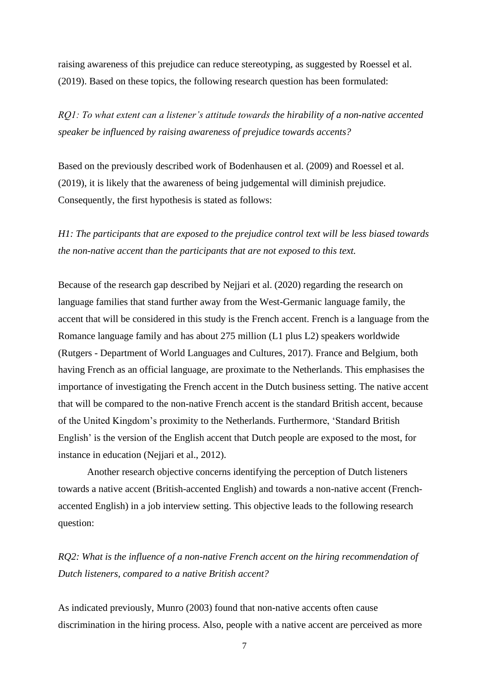raising awareness of this prejudice can reduce stereotyping, as suggested by Roessel et al. (2019). Based on these topics, the following research question has been formulated:

*RQ1: To what extent can a listener's attitude towards the hirability of a non-native accented speaker be influenced by raising awareness of prejudice towards accents?*

Based on the previously described work of Bodenhausen et al. (2009) and Roessel et al. (2019), it is likely that the awareness of being judgemental will diminish prejudice. Consequently, the first hypothesis is stated as follows:

*H1: The participants that are exposed to the prejudice control text will be less biased towards the non-native accent than the participants that are not exposed to this text.*

Because of the research gap described by Nejjari et al. (2020) regarding the research on language families that stand further away from the West-Germanic language family, the accent that will be considered in this study is the French accent. French is a language from the Romance language family and has about 275 million (L1 plus L2) speakers worldwide (Rutgers - Department of World Languages and Cultures, 2017). France and Belgium, both having French as an official language, are proximate to the Netherlands. This emphasises the importance of investigating the French accent in the Dutch business setting. The native accent that will be compared to the non-native French accent is the standard British accent, because of the United Kingdom's proximity to the Netherlands. Furthermore, 'Standard British English' is the version of the English accent that Dutch people are exposed to the most, for instance in education (Nejjari et al., 2012).

Another research objective concerns identifying the perception of Dutch listeners towards a native accent (British-accented English) and towards a non-native accent (Frenchaccented English) in a job interview setting. This objective leads to the following research question:

*RQ2: What is the influence of a non-native French accent on the hiring recommendation of Dutch listeners, compared to a native British accent?*

As indicated previously, Munro (2003) found that non-native accents often cause discrimination in the hiring process. Also, people with a native accent are perceived as more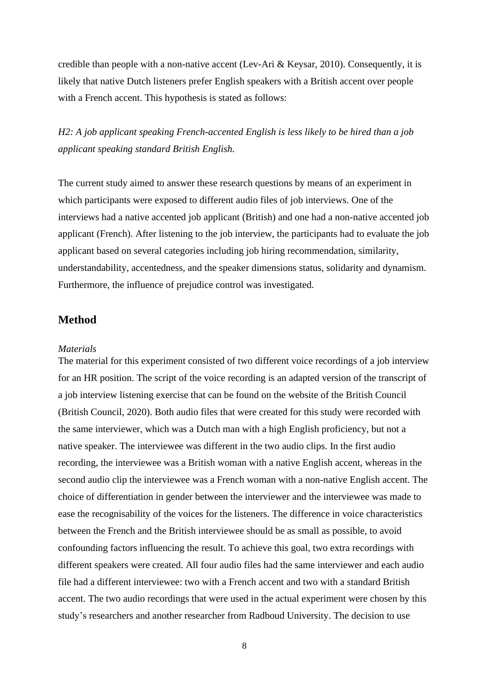credible than people with a non-native accent (Lev-Ari & Keysar, 2010). Consequently, it is likely that native Dutch listeners prefer English speakers with a British accent over people with a French accent. This hypothesis is stated as follows:

*H2: A job applicant speaking French-accented English is less likely to be hired than a job applicant speaking standard British English.* 

The current study aimed to answer these research questions by means of an experiment in which participants were exposed to different audio files of job interviews. One of the interviews had a native accented job applicant (British) and one had a non-native accented job applicant (French). After listening to the job interview, the participants had to evaluate the job applicant based on several categories including job hiring recommendation, similarity, understandability, accentedness, and the speaker dimensions status, solidarity and dynamism. Furthermore, the influence of prejudice control was investigated.

#### <span id="page-7-0"></span>**Method**

#### <span id="page-7-1"></span>*Materials*

The material for this experiment consisted of two different voice recordings of a job interview for an HR position. The script of the voice recording is an adapted version of the transcript of a job interview listening exercise that can be found on the website of the British Council (British Council, 2020). Both audio files that were created for this study were recorded with the same interviewer, which was a Dutch man with a high English proficiency, but not a native speaker. The interviewee was different in the two audio clips. In the first audio recording, the interviewee was a British woman with a native English accent, whereas in the second audio clip the interviewee was a French woman with a non-native English accent. The choice of differentiation in gender between the interviewer and the interviewee was made to ease the recognisability of the voices for the listeners. The difference in voice characteristics between the French and the British interviewee should be as small as possible, to avoid confounding factors influencing the result. To achieve this goal, two extra recordings with different speakers were created. All four audio files had the same interviewer and each audio file had a different interviewee: two with a French accent and two with a standard British accent. The two audio recordings that were used in the actual experiment were chosen by this study's researchers and another researcher from Radboud University. The decision to use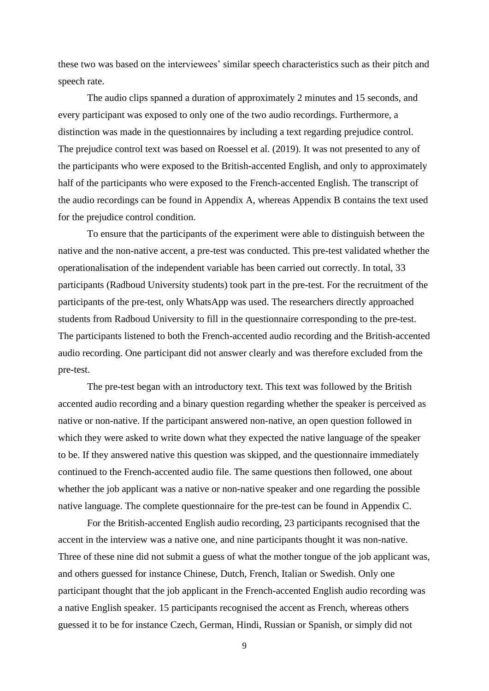these two was based on the interviewees' similar speech characteristics such as their pitch and speech rate.

The audio clips spanned a duration of approximately 2 minutes and 15 seconds, and every participant was exposed to only one of the two audio recordings. Furthermore, a distinction was made in the questionnaires by including a text regarding prejudice control. The prejudice control text was based on Roessel et al. (2019). It was not presented to any of the participants who were exposed to the British-accented English, and only to approximately half of the participants who were exposed to the French-accented English. The transcript of the audio recordings can be found in Appendix A, whereas Appendix B contains the text used for the prejudice control condition.

To ensure that the participants of the experiment were able to distinguish between the native and the non-native accent, a pre-test was conducted. This pre-test validated whether the operationalisation of the independent variable has been carried out correctly. In total, 33 participants (Radboud University students) took part in the pre-test. For the recruitment of the participants of the pre-test, only WhatsApp was used. The researchers directly approached students from Radboud University to fill in the questionnaire corresponding to the pre-test. The participants listened to both the French-accented audio recording and the British-accented audio recording. One participant did not answer clearly and was therefore excluded from the pre-test.

The pre-test began with an introductory text. This text was followed by the British accented audio recording and a binary question regarding whether the speaker is perceived as native or non-native. If the participant answered non-native, an open question followed in which they were asked to write down what they expected the native language of the speaker to be. If they answered native this question was skipped, and the questionnaire immediately continued to the French-accented audio file. The same questions then followed, one about whether the job applicant was a native or non-native speaker and one regarding the possible native language. The complete questionnaire for the pre-test can be found in Appendix C.

For the British-accented English audio recording, 23 participants recognised that the accent in the interview was a native one, and nine participants thought it was non-native. Three of these nine did not submit a guess of what the mother tongue of the job applicant was, and others guessed for instance Chinese, Dutch, French, Italian or Swedish. Only one participant thought that the job applicant in the French-accented English audio recording was a native English speaker. 15 participants recognised the accent as French, whereas others guessed it to be for instance Czech, German, Hindi, Russian or Spanish, or simply did not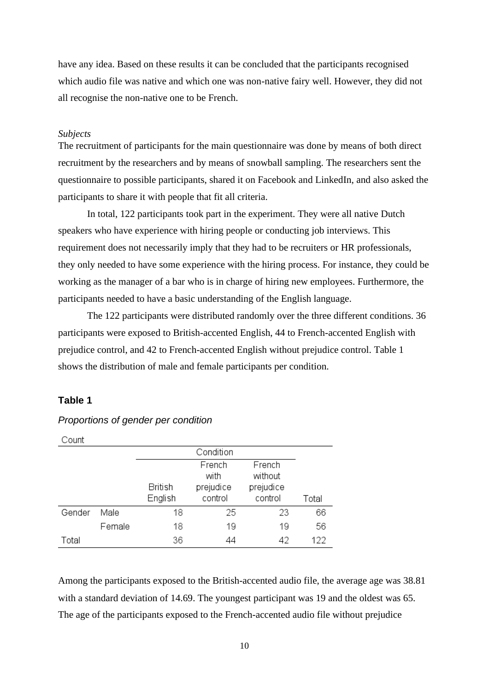have any idea. Based on these results it can be concluded that the participants recognised which audio file was native and which one was non-native fairy well. However, they did not all recognise the non-native one to be French.

#### <span id="page-9-0"></span>*Subjects*

The recruitment of participants for the main questionnaire was done by means of both direct recruitment by the researchers and by means of snowball sampling. The researchers sent the questionnaire to possible participants, shared it on Facebook and LinkedIn, and also asked the participants to share it with people that fit all criteria.

In total, 122 participants took part in the experiment. They were all native Dutch speakers who have experience with hiring people or conducting job interviews. This requirement does not necessarily imply that they had to be recruiters or HR professionals, they only needed to have some experience with the hiring process. For instance, they could be working as the manager of a bar who is in charge of hiring new employees. Furthermore, the participants needed to have a basic understanding of the English language.

The 122 participants were distributed randomly over the three different conditions. 36 participants were exposed to British-accented English, 44 to French-accented English with prejudice control, and 42 to French-accented English without prejudice control. Table 1 shows the distribution of male and female participants per condition.

#### **Table 1**

| ∪ount  |        |                    |                                        |                                           |       |
|--------|--------|--------------------|----------------------------------------|-------------------------------------------|-------|
|        |        |                    | Condition                              |                                           |       |
|        |        | British<br>English | French<br>with<br>prejudice<br>control | French<br>without<br>prejudice<br>control | Total |
| Gender | Male   | 18                 | 25                                     | 23                                        | 66    |
|        | Female | 18                 | 19                                     | 19                                        | 56    |
| Total  |        | 36                 | 44                                     | 42                                        | 122   |

*Proportions of gender per condition*

Among the participants exposed to the British-accented audio file, the average age was 38.81 with a standard deviation of 14.69. The youngest participant was 19 and the oldest was 65. The age of the participants exposed to the French-accented audio file without prejudice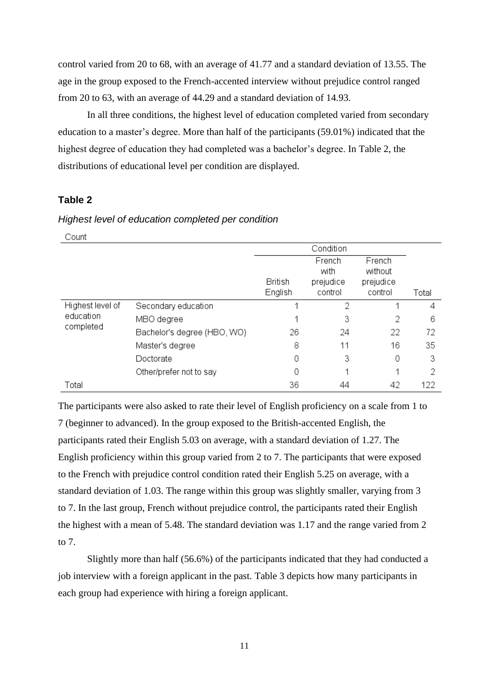control varied from 20 to 68, with an average of 41.77 and a standard deviation of 13.55. The age in the group exposed to the French-accented interview without prejudice control ranged from 20 to 63, with an average of 44.29 and a standard deviation of 14.93.

In all three conditions, the highest level of education completed varied from secondary education to a master's degree. More than half of the participants (59.01%) indicated that the highest degree of education they had completed was a bachelor's degree. In Table 2, the distributions of educational level per condition are displayed.

#### **Table 2**

#### Count Condition French French with without **British** prejudice prejudice English control control Total Highest level of  $\overline{2}$ 4 Secondary education 1 1 education MBO degree  $\mathbf 1$ 3  $\overline{2}$ 6 completed Bachelor's degree (HBO, WO) 26 24 22 72 Master's degree 8 11 16 35 0 Doctorate 3 0 3 Other/prefer not to say 0 1  $\mathbf{1}$ 2 Total 36 44 42 122

#### *Highest level of education completed per condition*

The participants were also asked to rate their level of English proficiency on a scale from 1 to 7 (beginner to advanced). In the group exposed to the British-accented English, the participants rated their English 5.03 on average, with a standard deviation of 1.27. The English proficiency within this group varied from 2 to 7. The participants that were exposed to the French with prejudice control condition rated their English 5.25 on average, with a standard deviation of 1.03. The range within this group was slightly smaller, varying from 3 to 7. In the last group, French without prejudice control, the participants rated their English the highest with a mean of 5.48. The standard deviation was 1.17 and the range varied from 2 to 7.

Slightly more than half (56.6%) of the participants indicated that they had conducted a job interview with a foreign applicant in the past. Table 3 depicts how many participants in each group had experience with hiring a foreign applicant.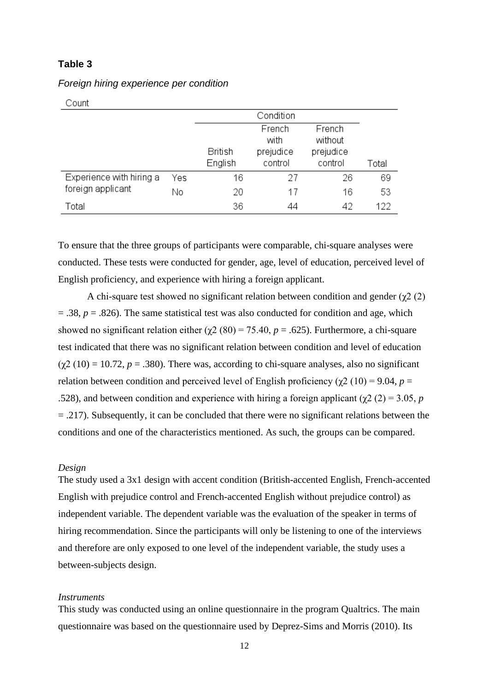#### **Table 3**

| Count                    |     |                    |                                        |                                           |       |
|--------------------------|-----|--------------------|----------------------------------------|-------------------------------------------|-------|
|                          |     |                    | Condition                              |                                           |       |
|                          |     | British<br>English | French<br>with<br>prejudice<br>control | French<br>without<br>prejudice<br>control | Total |
| Experience with hiring a | Yes | 16                 | 27                                     | 26                                        | 69    |
| foreign applicant        | Νo  | 20                 | 17                                     | 16                                        | 53    |
| Total                    |     | 36                 | 44                                     | 42                                        | 122   |

*Foreign hiring experience per condition*

To ensure that the three groups of participants were comparable, chi-square analyses were conducted. These tests were conducted for gender, age, level of education, perceived level of English proficiency, and experience with hiring a foreign applicant.

A chi-square test showed no significant relation between condition and gender ( $\chi$ 2 (2) = .38, *p* = .826). The same statistical test was also conducted for condition and age, which showed no significant relation either ( $\chi$ 2 (80) = 75.40, *p* = .625). Furthermore, a chi-square test indicated that there was no significant relation between condition and level of education  $(\gamma 2 (10) = 10.72, p = .380)$ . There was, according to chi-square analyses, also no significant relation between condition and perceived level of English proficiency ( $\chi$ 2 (10) = 9.04, *p* = .528), and between condition and experience with hiring a foreign applicant ( $\gamma$ 2 (2) = 3.05, *p* = .217). Subsequently, it can be concluded that there were no significant relations between the conditions and one of the characteristics mentioned. As such, the groups can be compared.

#### <span id="page-11-0"></span>*Design*

The study used a 3x1 design with accent condition (British-accented English, French-accented English with prejudice control and French-accented English without prejudice control) as independent variable. The dependent variable was the evaluation of the speaker in terms of hiring recommendation. Since the participants will only be listening to one of the interviews and therefore are only exposed to one level of the independent variable, the study uses a between-subjects design.

#### <span id="page-11-1"></span>*Instruments*

This study was conducted using an online questionnaire in the program Qualtrics. The main questionnaire was based on the questionnaire used by Deprez-Sims and Morris (2010). Its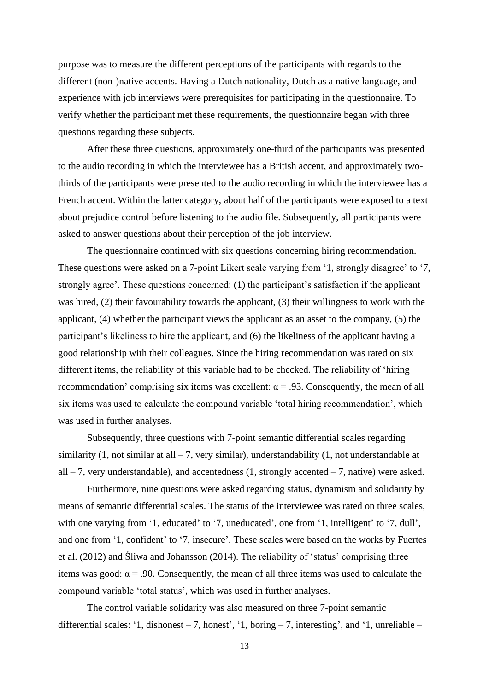purpose was to measure the different perceptions of the participants with regards to the different (non-)native accents. Having a Dutch nationality, Dutch as a native language, and experience with job interviews were prerequisites for participating in the questionnaire. To verify whether the participant met these requirements, the questionnaire began with three questions regarding these subjects.

After these three questions, approximately one-third of the participants was presented to the audio recording in which the interviewee has a British accent, and approximately twothirds of the participants were presented to the audio recording in which the interviewee has a French accent. Within the latter category, about half of the participants were exposed to a text about prejudice control before listening to the audio file. Subsequently, all participants were asked to answer questions about their perception of the job interview.

The questionnaire continued with six questions concerning hiring recommendation. These questions were asked on a 7-point Likert scale varying from '1, strongly disagree' to '7, strongly agree'. These questions concerned: (1) the participant's satisfaction if the applicant was hired, (2) their favourability towards the applicant, (3) their willingness to work with the applicant, (4) whether the participant views the applicant as an asset to the company, (5) the participant's likeliness to hire the applicant, and (6) the likeliness of the applicant having a good relationship with their colleagues. Since the hiring recommendation was rated on six different items, the reliability of this variable had to be checked. The reliability of 'hiring recommendation' comprising six items was excellent:  $\alpha$  = .93. Consequently, the mean of all six items was used to calculate the compound variable 'total hiring recommendation', which was used in further analyses.

Subsequently, three questions with 7-point semantic differential scales regarding similarity (1, not similar at all  $-7$ , very similar), understandability (1, not understandable at all  $-7$ , very understandable), and accentedness (1, strongly accented  $-7$ , native) were asked.

Furthermore, nine questions were asked regarding status, dynamism and solidarity by means of semantic differential scales. The status of the interviewee was rated on three scales, with one varying from '1, educated' to '7, uneducated', one from '1, intelligent' to '7, dull', and one from '1, confident' to '7, insecure'. These scales were based on the works by Fuertes et al. (2012) and Śliwa and Johansson (2014). The reliability of 'status' comprising three items was good:  $\alpha$  = .90. Consequently, the mean of all three items was used to calculate the compound variable 'total status', which was used in further analyses.

The control variable solidarity was also measured on three 7-point semantic differential scales: '1, dishonest – 7, honest', '1, boring – 7, interesting', and '1, unreliable –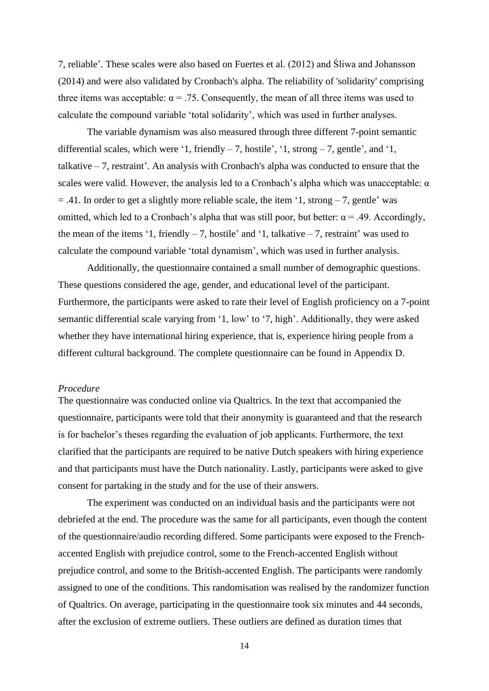7, reliable'. These scales were also based on Fuertes et al. (2012) and Śliwa and Johansson (2014) and were also validated by Cronbach's alpha. The reliability of 'solidarity' comprising three items was acceptable:  $\alpha = .75$ . Consequently, the mean of all three items was used to calculate the compound variable 'total solidarity', which was used in further analyses.

The variable dynamism was also measured through three different 7-point semantic differential scales, which were '1, friendly  $-7$ , hostile', '1, strong  $-7$ , gentle', and '1, talkative – 7, restraint'. An analysis with Cronbach's alpha was conducted to ensure that the scales were valid. However, the analysis led to a Cronbach's alpha which was unacceptable:  $\alpha$  $= .41$ . In order to get a slightly more reliable scale, the item '1, strong  $-7$ , gentle' was omitted, which led to a Cronbach's alpha that was still poor, but better:  $\alpha = .49$ . Accordingly, the mean of the items '1, friendly  $-7$ , hostile' and '1, talkative  $-7$ , restraint' was used to calculate the compound variable 'total dynamism', which was used in further analysis.

Additionally, the questionnaire contained a small number of demographic questions. These questions considered the age, gender, and educational level of the participant. Furthermore, the participants were asked to rate their level of English proficiency on a 7-point semantic differential scale varying from '1, low' to '7, high'. Additionally, they were asked whether they have international hiring experience, that is, experience hiring people from a different cultural background. The complete questionnaire can be found in Appendix D.

#### <span id="page-13-0"></span>*Procedure*

The questionnaire was conducted online via Qualtrics. In the text that accompanied the questionnaire, participants were told that their anonymity is guaranteed and that the research is for bachelor's theses regarding the evaluation of job applicants. Furthermore, the text clarified that the participants are required to be native Dutch speakers with hiring experience and that participants must have the Dutch nationality. Lastly, participants were asked to give consent for partaking in the study and for the use of their answers.

The experiment was conducted on an individual basis and the participants were not debriefed at the end. The procedure was the same for all participants, even though the content of the questionnaire/audio recording differed. Some participants were exposed to the Frenchaccented English with prejudice control, some to the French-accented English without prejudice control, and some to the British-accented English. The participants were randomly assigned to one of the conditions. This randomisation was realised by the randomizer function of Qualtrics. On average, participating in the questionnaire took six minutes and 44 seconds, after the exclusion of extreme outliers. These outliers are defined as duration times that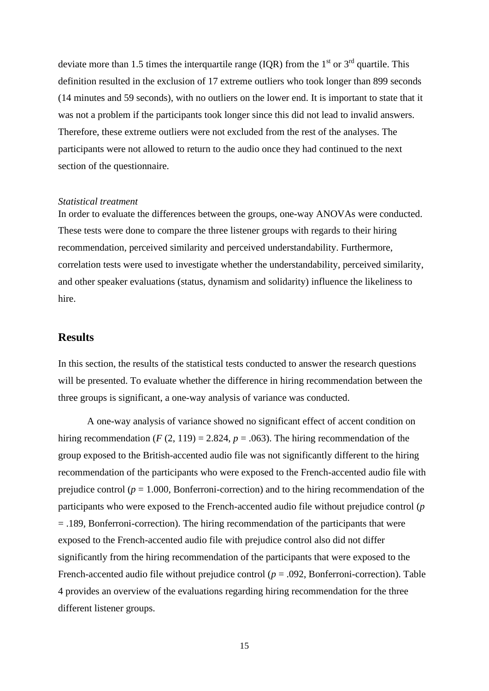deviate more than 1.5 times the interquartile range (IQR) from the  $1<sup>st</sup>$  or  $3<sup>rd</sup>$  quartile. This definition resulted in the exclusion of 17 extreme outliers who took longer than 899 seconds (14 minutes and 59 seconds), with no outliers on the lower end. It is important to state that it was not a problem if the participants took longer since this did not lead to invalid answers. Therefore, these extreme outliers were not excluded from the rest of the analyses. The participants were not allowed to return to the audio once they had continued to the next section of the questionnaire.

#### <span id="page-14-0"></span>*Statistical treatment*

In order to evaluate the differences between the groups, one-way ANOVAs were conducted. These tests were done to compare the three listener groups with regards to their hiring recommendation, perceived similarity and perceived understandability. Furthermore, correlation tests were used to investigate whether the understandability, perceived similarity, and other speaker evaluations (status, dynamism and solidarity) influence the likeliness to hire.

#### <span id="page-14-1"></span>**Results**

In this section, the results of the statistical tests conducted to answer the research questions will be presented. To evaluate whether the difference in hiring recommendation between the three groups is significant, a one-way analysis of variance was conducted.

A one-way analysis of variance showed no significant effect of accent condition on hiring recommendation ( $F(2, 119) = 2.824$ ,  $p = .063$ ). The hiring recommendation of the group exposed to the British-accented audio file was not significantly different to the hiring recommendation of the participants who were exposed to the French-accented audio file with prejudice control ( $p = 1.000$ , Bonferroni-correction) and to the hiring recommendation of the participants who were exposed to the French-accented audio file without prejudice control (*p*  = .189, Bonferroni-correction). The hiring recommendation of the participants that were exposed to the French-accented audio file with prejudice control also did not differ significantly from the hiring recommendation of the participants that were exposed to the French-accented audio file without prejudice control  $(p = .092,$  Bonferroni-correction). Table 4 provides an overview of the evaluations regarding hiring recommendation for the three different listener groups.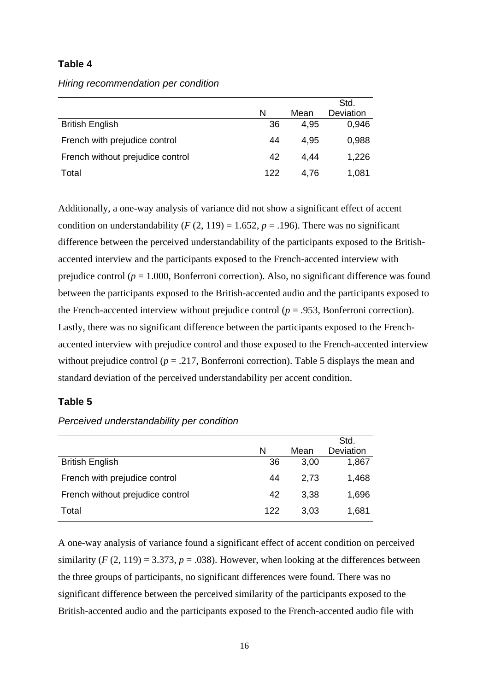#### **Table 4**

*Hiring recommendation per condition*

|                                  |     |      | Std.             |
|----------------------------------|-----|------|------------------|
|                                  | N   | Mean | <b>Deviation</b> |
| <b>British English</b>           | 36  | 4,95 | 0,946            |
| French with prejudice control    | 44  | 4,95 | 0,988            |
| French without prejudice control | 42  | 4.44 | 1,226            |
| Total                            | 122 | 4.76 | 1,081            |

Additionally, a one-way analysis of variance did not show a significant effect of accent condition on understandability ( $F(2, 119) = 1.652$ ,  $p = .196$ ). There was no significant difference between the perceived understandability of the participants exposed to the Britishaccented interview and the participants exposed to the French-accented interview with prejudice control (*p* = 1.000, Bonferroni correction). Also, no significant difference was found between the participants exposed to the British-accented audio and the participants exposed to the French-accented interview without prejudice control ( $p = .953$ , Bonferroni correction). Lastly, there was no significant difference between the participants exposed to the Frenchaccented interview with prejudice control and those exposed to the French-accented interview without prejudice control ( $p = .217$ , Bonferroni correction). Table 5 displays the mean and standard deviation of the perceived understandability per accent condition.

#### **Table 5**

#### *Perceived understandability per condition*

|                                  |     |      | Std.      |
|----------------------------------|-----|------|-----------|
|                                  | N   | Mean | Deviation |
| <b>British English</b>           | 36  | 3,00 | 1,867     |
| French with prejudice control    | 44  | 2,73 | 1,468     |
| French without prejudice control | 42  | 3,38 | 1,696     |
| Total                            | 122 | 3,03 | 1,681     |

A one-way analysis of variance found a significant effect of accent condition on perceived similarity  $(F(2, 119) = 3.373, p = .038)$ . However, when looking at the differences between the three groups of participants, no significant differences were found. There was no significant difference between the perceived similarity of the participants exposed to the British-accented audio and the participants exposed to the French-accented audio file with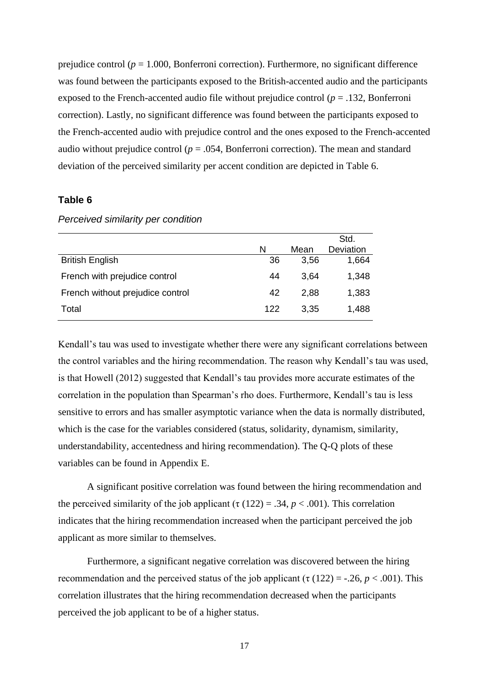prejudice control ( $p = 1.000$ , Bonferroni correction). Furthermore, no significant difference was found between the participants exposed to the British-accented audio and the participants exposed to the French-accented audio file without prejudice control ( $p = .132$ , Bonferroni correction). Lastly, no significant difference was found between the participants exposed to the French-accented audio with prejudice control and the ones exposed to the French-accented audio without prejudice control ( $p = 0.054$ , Bonferroni correction). The mean and standard deviation of the perceived similarity per accent condition are depicted in Table 6.

#### **Table 6**

|                                  | N   | Mean | Std.<br>Deviation |
|----------------------------------|-----|------|-------------------|
| <b>British English</b>           | 36  | 3,56 | 1,664             |
| French with prejudice control    | 44  | 3,64 | 1,348             |
| French without prejudice control | 42  | 2,88 | 1,383             |
| Total                            | 122 | 3,35 | 1,488             |

*Perceived similarity per condition*

Kendall's tau was used to investigate whether there were any significant correlations between the control variables and the hiring recommendation. The reason why Kendall's tau was used, is that Howell (2012) suggested that Kendall's tau provides more accurate estimates of the correlation in the population than Spearman's rho does. Furthermore, Kendall's tau is less sensitive to errors and has smaller asymptotic variance when the data is normally distributed, which is the case for the variables considered (status, solidarity, dynamism, similarity, understandability, accentedness and hiring recommendation). The Q-Q plots of these variables can be found in Appendix E.

A significant positive correlation was found between the hiring recommendation and the perceived similarity of the job applicant ( $\tau$  (122) = .34,  $p < .001$ ). This correlation indicates that the hiring recommendation increased when the participant perceived the job applicant as more similar to themselves.

Furthermore, a significant negative correlation was discovered between the hiring recommendation and the perceived status of the job applicant ( $\tau$  (122) = -.26,  $p < .001$ ). This correlation illustrates that the hiring recommendation decreased when the participants perceived the job applicant to be of a higher status.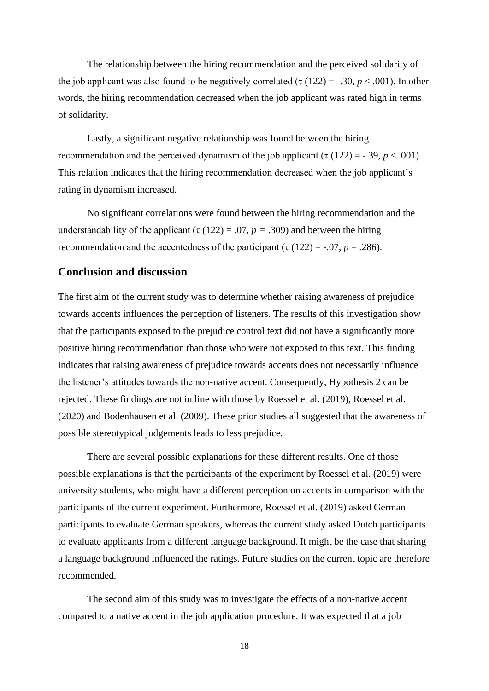The relationship between the hiring recommendation and the perceived solidarity of the job applicant was also found to be negatively correlated (τ  $(122) = -.30, p < .001$ ). In other words, the hiring recommendation decreased when the job applicant was rated high in terms of solidarity.

Lastly, a significant negative relationship was found between the hiring recommendation and the perceived dynamism of the job applicant (τ (122) = -.39,  $p < .001$ ). This relation indicates that the hiring recommendation decreased when the job applicant's rating in dynamism increased.

No significant correlations were found between the hiring recommendation and the understandability of the applicant ( $\tau$  (122) = .07, *p* = .309) and between the hiring recommendation and the accentedness of the participant ( $\tau$  (122) = -.07, *p* = .286).

#### <span id="page-17-0"></span>**Conclusion and discussion**

The first aim of the current study was to determine whether raising awareness of prejudice towards accents influences the perception of listeners. The results of this investigation show that the participants exposed to the prejudice control text did not have a significantly more positive hiring recommendation than those who were not exposed to this text. This finding indicates that raising awareness of prejudice towards accents does not necessarily influence the listener's attitudes towards the non-native accent. Consequently, Hypothesis 2 can be rejected. These findings are not in line with those by Roessel et al. (2019), Roessel et al. (2020) and Bodenhausen et al. (2009). These prior studies all suggested that the awareness of possible stereotypical judgements leads to less prejudice.

There are several possible explanations for these different results. One of those possible explanations is that the participants of the experiment by Roessel et al. (2019) were university students, who might have a different perception on accents in comparison with the participants of the current experiment. Furthermore, Roessel et al. (2019) asked German participants to evaluate German speakers, whereas the current study asked Dutch participants to evaluate applicants from a different language background. It might be the case that sharing a language background influenced the ratings. Future studies on the current topic are therefore recommended.

The second aim of this study was to investigate the effects of a non-native accent compared to a native accent in the job application procedure. It was expected that a job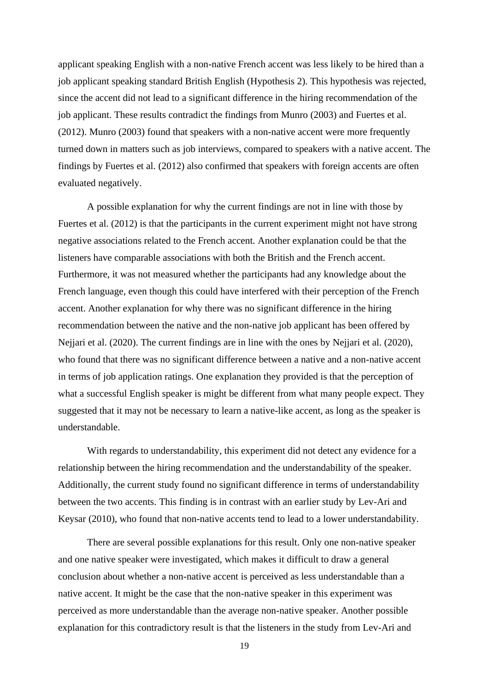applicant speaking English with a non-native French accent was less likely to be hired than a job applicant speaking standard British English (Hypothesis 2). This hypothesis was rejected, since the accent did not lead to a significant difference in the hiring recommendation of the job applicant. These results contradict the findings from Munro (2003) and Fuertes et al. (2012). Munro (2003) found that speakers with a non-native accent were more frequently turned down in matters such as job interviews, compared to speakers with a native accent. The findings by Fuertes et al. (2012) also confirmed that speakers with foreign accents are often evaluated negatively.

A possible explanation for why the current findings are not in line with those by Fuertes et al. (2012) is that the participants in the current experiment might not have strong negative associations related to the French accent. Another explanation could be that the listeners have comparable associations with both the British and the French accent. Furthermore, it was not measured whether the participants had any knowledge about the French language, even though this could have interfered with their perception of the French accent. Another explanation for why there was no significant difference in the hiring recommendation between the native and the non-native job applicant has been offered by Nejjari et al. (2020). The current findings are in line with the ones by Nejjari et al. (2020), who found that there was no significant difference between a native and a non-native accent in terms of job application ratings. One explanation they provided is that the perception of what a successful English speaker is might be different from what many people expect. They suggested that it may not be necessary to learn a native-like accent, as long as the speaker is understandable.

With regards to understandability, this experiment did not detect any evidence for a relationship between the hiring recommendation and the understandability of the speaker. Additionally, the current study found no significant difference in terms of understandability between the two accents. This finding is in contrast with an earlier study by Lev-Ari and Keysar (2010), who found that non-native accents tend to lead to a lower understandability.

There are several possible explanations for this result. Only one non-native speaker and one native speaker were investigated, which makes it difficult to draw a general conclusion about whether a non-native accent is perceived as less understandable than a native accent. It might be the case that the non-native speaker in this experiment was perceived as more understandable than the average non-native speaker. Another possible explanation for this contradictory result is that the listeners in the study from Lev-Ari and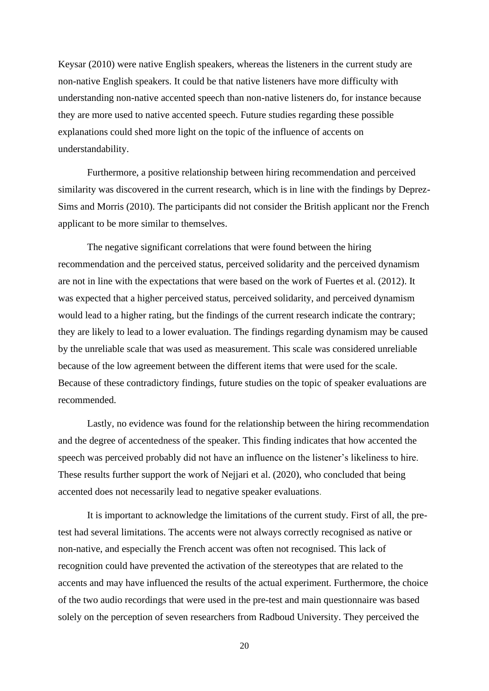Keysar (2010) were native English speakers, whereas the listeners in the current study are non-native English speakers. It could be that native listeners have more difficulty with understanding non-native accented speech than non-native listeners do, for instance because they are more used to native accented speech. Future studies regarding these possible explanations could shed more light on the topic of the influence of accents on understandability.

Furthermore, a positive relationship between hiring recommendation and perceived similarity was discovered in the current research, which is in line with the findings by Deprez-Sims and Morris (2010). The participants did not consider the British applicant nor the French applicant to be more similar to themselves.

The negative significant correlations that were found between the hiring recommendation and the perceived status, perceived solidarity and the perceived dynamism are not in line with the expectations that were based on the work of Fuertes et al. (2012). It was expected that a higher perceived status, perceived solidarity, and perceived dynamism would lead to a higher rating, but the findings of the current research indicate the contrary; they are likely to lead to a lower evaluation. The findings regarding dynamism may be caused by the unreliable scale that was used as measurement. This scale was considered unreliable because of the low agreement between the different items that were used for the scale. Because of these contradictory findings, future studies on the topic of speaker evaluations are recommended.

Lastly, no evidence was found for the relationship between the hiring recommendation and the degree of accentedness of the speaker. This finding indicates that how accented the speech was perceived probably did not have an influence on the listener's likeliness to hire. These results further support the work of Nejjari et al. (2020), who concluded that being accented does not necessarily lead to negative speaker evaluations.

It is important to acknowledge the limitations of the current study. First of all, the pretest had several limitations. The accents were not always correctly recognised as native or non-native, and especially the French accent was often not recognised. This lack of recognition could have prevented the activation of the stereotypes that are related to the accents and may have influenced the results of the actual experiment. Furthermore, the choice of the two audio recordings that were used in the pre-test and main questionnaire was based solely on the perception of seven researchers from Radboud University. They perceived the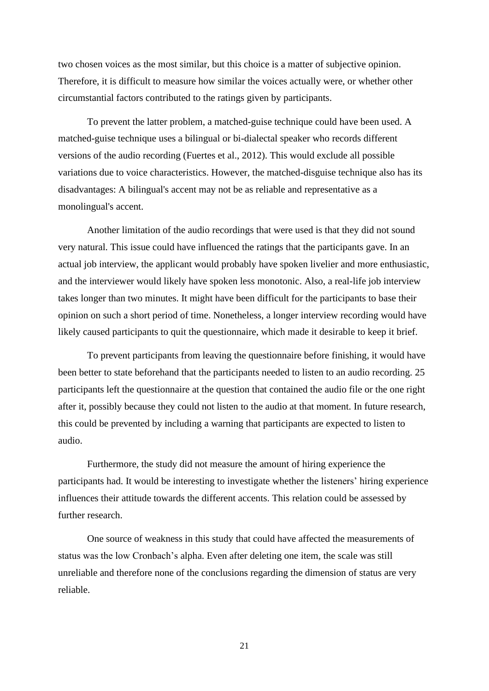two chosen voices as the most similar, but this choice is a matter of subjective opinion. Therefore, it is difficult to measure how similar the voices actually were, or whether other circumstantial factors contributed to the ratings given by participants.

To prevent the latter problem, a matched-guise technique could have been used. A matched-guise technique uses a bilingual or bi-dialectal speaker who records different versions of the audio recording (Fuertes et al., 2012). This would exclude all possible variations due to voice characteristics. However, the matched-disguise technique also has its disadvantages: A bilingual's accent may not be as reliable and representative as a monolingual's accent.

Another limitation of the audio recordings that were used is that they did not sound very natural. This issue could have influenced the ratings that the participants gave. In an actual job interview, the applicant would probably have spoken livelier and more enthusiastic, and the interviewer would likely have spoken less monotonic. Also, a real-life job interview takes longer than two minutes. It might have been difficult for the participants to base their opinion on such a short period of time. Nonetheless, a longer interview recording would have likely caused participants to quit the questionnaire, which made it desirable to keep it brief.

To prevent participants from leaving the questionnaire before finishing, it would have been better to state beforehand that the participants needed to listen to an audio recording. 25 participants left the questionnaire at the question that contained the audio file or the one right after it, possibly because they could not listen to the audio at that moment. In future research, this could be prevented by including a warning that participants are expected to listen to audio.

Furthermore, the study did not measure the amount of hiring experience the participants had. It would be interesting to investigate whether the listeners' hiring experience influences their attitude towards the different accents. This relation could be assessed by further research.

One source of weakness in this study that could have affected the measurements of status was the low Cronbach's alpha. Even after deleting one item, the scale was still unreliable and therefore none of the conclusions regarding the dimension of status are very reliable.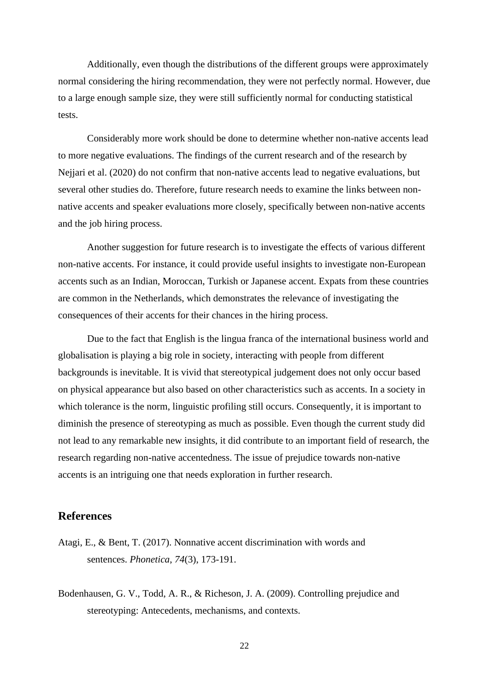Additionally, even though the distributions of the different groups were approximately normal considering the hiring recommendation, they were not perfectly normal. However, due to a large enough sample size, they were still sufficiently normal for conducting statistical tests.

Considerably more work should be done to determine whether non-native accents lead to more negative evaluations. The findings of the current research and of the research by Nejjari et al. (2020) do not confirm that non-native accents lead to negative evaluations, but several other studies do. Therefore, future research needs to examine the links between nonnative accents and speaker evaluations more closely, specifically between non-native accents and the job hiring process.

Another suggestion for future research is to investigate the effects of various different non-native accents. For instance, it could provide useful insights to investigate non-European accents such as an Indian, Moroccan, Turkish or Japanese accent. Expats from these countries are common in the Netherlands, which demonstrates the relevance of investigating the consequences of their accents for their chances in the hiring process.

Due to the fact that English is the lingua franca of the international business world and globalisation is playing a big role in society, interacting with people from different backgrounds is inevitable. It is vivid that stereotypical judgement does not only occur based on physical appearance but also based on other characteristics such as accents. In a society in which tolerance is the norm, linguistic profiling still occurs. Consequently, it is important to diminish the presence of stereotyping as much as possible. Even though the current study did not lead to any remarkable new insights, it did contribute to an important field of research, the research regarding non-native accentedness. The issue of prejudice towards non-native accents is an intriguing one that needs exploration in further research.

#### <span id="page-21-0"></span>**References**

- Atagi, E., & Bent, T. (2017). Nonnative accent discrimination with words and sentences. *Phonetica*, *74*(3), 173-191.
- Bodenhausen, G. V., Todd, A. R., & Richeson, J. A. (2009). Controlling prejudice and stereotyping: Antecedents, mechanisms, and contexts.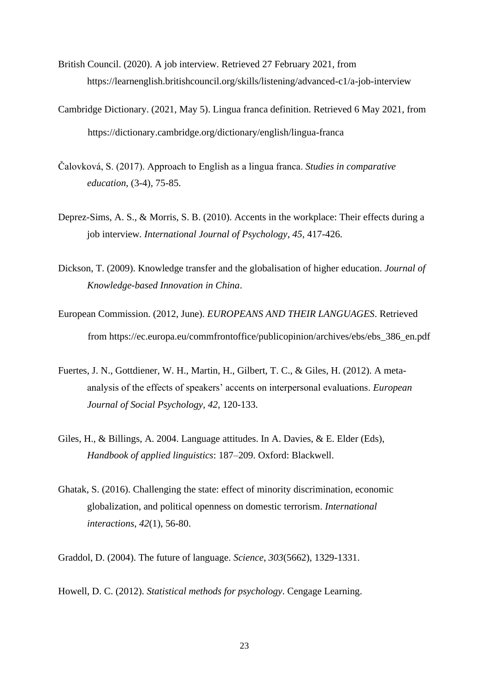- British Council. (2020). A job interview. Retrieved 27 February 2021, from https://learnenglish.britishcouncil.org/skills/listening/advanced-c1/a-job-interview
- Cambridge Dictionary. (2021, May 5). Lingua franca definition. Retrieved 6 May 2021, from https://dictionary.cambridge.org/dictionary/english/lingua-franca
- Čalovková, S. (2017). Approach to English as a lingua franca. *Studies in comparative education*, (3-4), 75-85.
- Deprez-Sims, A. S., & Morris, S. B. (2010). Accents in the workplace: Their effects during a job interview*. International Journal of Psychology*, *45,* 417-426.
- Dickson, T. (2009). Knowledge transfer and the globalisation of higher education. *Journal of Knowledge-based Innovation in China*.
- European Commission. (2012, June). *EUROPEANS AND THEIR LANGUAGES*. Retrieved from https://ec.europa.eu/commfrontoffice/publicopinion/archives/ebs/ebs\_386\_en.pdf
- Fuertes, J. N., Gottdiener, W. H., Martin, H., Gilbert, T. C., & Giles, H. (2012). A metaanalysis of the effects of speakers' accents on interpersonal evaluations. *European Journal of Social Psychology, 42*, 120-133.
- Giles, H., & Billings, A. 2004. Language attitudes. In A. Davies, & E. Elder (Eds), *Handbook of applied linguistics*: 187–209. Oxford: Blackwell.
- Ghatak, S. (2016). Challenging the state: effect of minority discrimination, economic globalization, and political openness on domestic terrorism. *International interactions*, *42*(1), 56-80.

Graddol, D. (2004). The future of language. *Science*, *303*(5662), 1329-1331.

Howell, D. C. (2012). *Statistical methods for psychology*. Cengage Learning.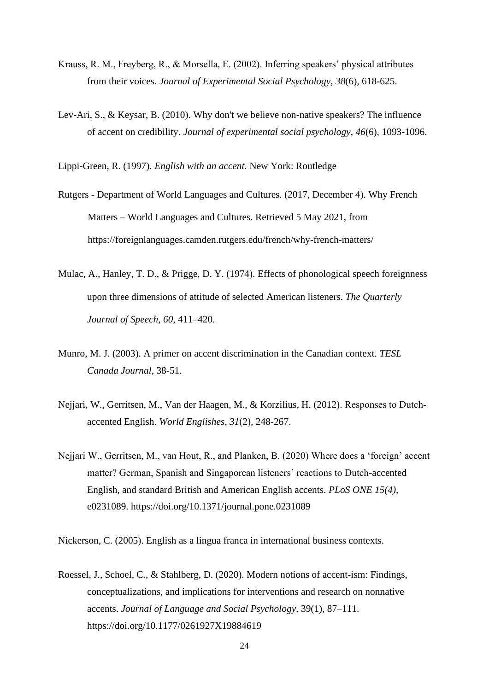- Krauss, R. M., Freyberg, R., & Morsella, E. (2002). Inferring speakers' physical attributes from their voices. *Journal of Experimental Social Psychology*, *38*(6), 618-625.
- Lev-Ari, S., & Keysar, B. (2010). Why don't we believe non-native speakers? The influence of accent on credibility. *Journal of experimental social psychology*, *46*(6), 1093-1096.

Lippi-Green, R. (1997). *English with an accent.* New York: Routledge

- Rutgers Department of World Languages and Cultures. (2017, December 4). Why French Matters – World Languages and Cultures. Retrieved 5 May 2021, from https://foreignlanguages.camden.rutgers.edu/french/why-french-matters/
- Mulac, A., Hanley, T. D., & Prigge, D. Y. (1974). Effects of phonological speech foreignness upon three dimensions of attitude of selected American listeners. *The Quarterly Journal of Speech, 60*, 411–420.
- Munro, M. J. (2003). A primer on accent discrimination in the Canadian context. *TESL Canada Journal*, 38-51.
- Nejjari, W., Gerritsen, M., Van der Haagen, M., & Korzilius, H. (2012). Responses to Dutch‐ accented English. *World Englishes*, *31*(2), 248-267.
- Nejjari W., Gerritsen, M., van Hout, R., and Planken, B. (2020) Where does a 'foreign' accent matter? German, Spanish and Singaporean listeners' reactions to Dutch-accented English, and standard British and American English accents. *PLoS ONE 15(4),* e0231089. https://doi.org/10.1371/journal.pone.0231089

Nickerson, C. (2005). English as a lingua franca in international business contexts.

Roessel, J., Schoel, C., & Stahlberg, D. (2020). Modern notions of accent-ism: Findings, conceptualizations, and implications for interventions and research on nonnative accents. *Journal of Language and Social Psychology,* 39(1), 87–111. https://doi.org/10.1177/0261927X19884619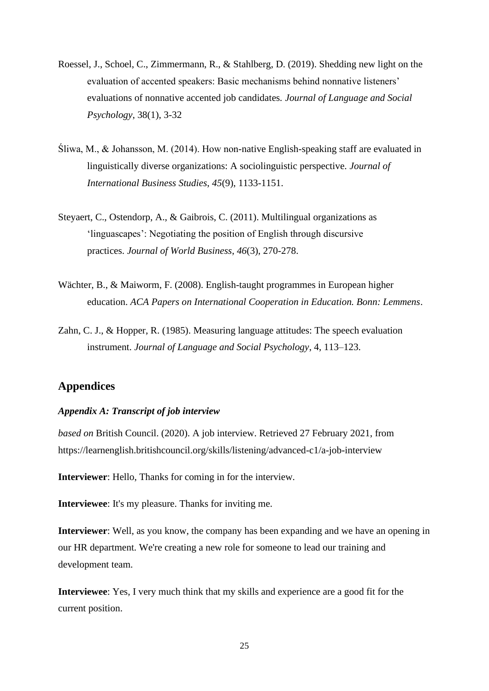- Roessel, J., Schoel, C., Zimmermann, R., & Stahlberg, D. (2019). Shedding new light on the evaluation of accented speakers: Basic mechanisms behind nonnative listeners' evaluations of nonnative accented job candidates*. Journal of Language and Social Psychology*, 38(1), 3-32
- Śliwa, M., & Johansson, M. (2014). How non-native English-speaking staff are evaluated in linguistically diverse organizations: A sociolinguistic perspective. *Journal of International Business Studies*, *45*(9), 1133-1151.
- Steyaert, C., Ostendorp, A., & Gaibrois, C. (2011). Multilingual organizations as 'linguascapes': Negotiating the position of English through discursive practices. *Journal of World Business*, *46*(3), 270-278.
- Wächter, B., & Maiworm, F. (2008). English-taught programmes in European higher education. *ACA Papers on International Cooperation in Education. Bonn: Lemmens*.
- Zahn, C. J., & Hopper, R. (1985). Measuring language attitudes: The speech evaluation instrument. *Journal of Language and Social Psychology*, 4, 113–123.

#### <span id="page-24-0"></span>**Appendices**

#### <span id="page-24-1"></span>*Appendix A: Transcript of job interview*

*based on* British Council. (2020). A job interview. Retrieved 27 February 2021, from https://learnenglish.britishcouncil.org/skills/listening/advanced-c1/a-job-interview

**Interviewer**: Hello, Thanks for coming in for the interview.

**Interviewee**: It's my pleasure. Thanks for inviting me.

**Interviewer**: Well, as you know, the company has been expanding and we have an opening in our HR department. We're creating a new role for someone to lead our training and development team.

**Interviewee**: Yes, I very much think that my skills and experience are a good fit for the current position.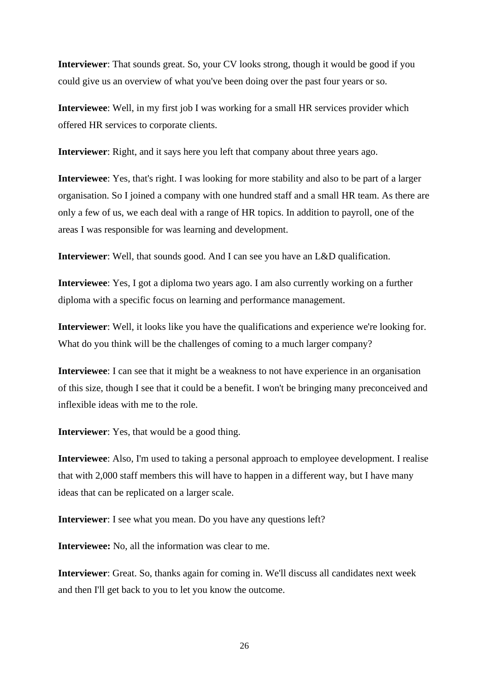**Interviewer**: That sounds great. So, your CV looks strong, though it would be good if you could give us an overview of what you've been doing over the past four years or so.

**Interviewee**: Well, in my first job I was working for a small HR services provider which offered HR services to corporate clients.

**Interviewer**: Right, and it says here you left that company about three years ago.

**Interviewee**: Yes, that's right. I was looking for more stability and also to be part of a larger organisation. So I joined a company with one hundred staff and a small HR team. As there are only a few of us, we each deal with a range of HR topics. In addition to payroll, one of the areas I was responsible for was learning and development.

**Interviewer**: Well, that sounds good. And I can see you have an L&D qualification.

**Interviewee**: Yes, I got a diploma two years ago. I am also currently working on a further diploma with a specific focus on learning and performance management.

**Interviewer**: Well, it looks like you have the qualifications and experience we're looking for. What do you think will be the challenges of coming to a much larger company?

**Interviewee**: I can see that it might be a weakness to not have experience in an organisation of this size, though I see that it could be a benefit. I won't be bringing many preconceived and inflexible ideas with me to the role.

**Interviewer**: Yes, that would be a good thing.

**Interviewee**: Also, I'm used to taking a personal approach to employee development. I realise that with 2,000 staff members this will have to happen in a different way, but I have many ideas that can be replicated on a larger scale.

**Interviewer**: I see what you mean. Do you have any questions left?

**Interviewee:** No, all the information was clear to me.

**Interviewer**: Great. So, thanks again for coming in. We'll discuss all candidates next week and then I'll get back to you to let you know the outcome.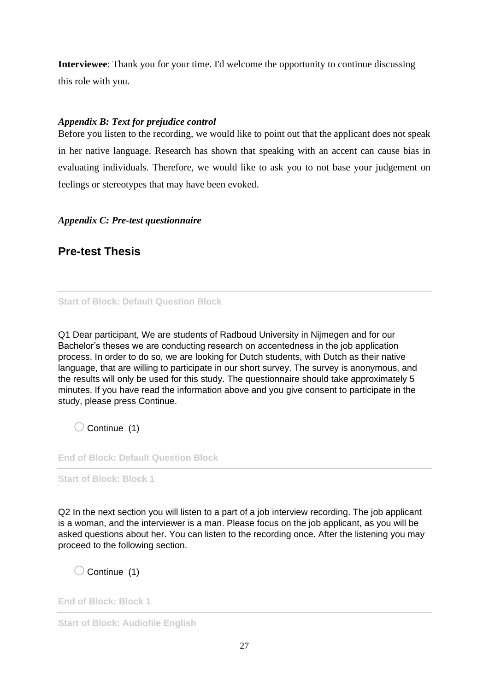**Interviewee**: Thank you for your time. I'd welcome the opportunity to continue discussing this role with you.

#### <span id="page-26-0"></span>*Appendix B: Text for prejudice control*

Before you listen to the recording, we would like to point out that the applicant does not speak in her native language. Research has shown that speaking with an accent can cause bias in evaluating individuals. Therefore, we would like to ask you to not base your judgement on feelings or stereotypes that may have been evoked.

#### <span id="page-26-1"></span>*Appendix C: Pre-test questionnaire*

### **Pre-test Thesis**

**Start of Block: Default Question Block**

Q1 Dear participant, We are students of Radboud University in Nijmegen and for our Bachelor's theses we are conducting research on accentedness in the job application process. In order to do so, we are looking for Dutch students, with Dutch as their native language, that are willing to participate in our short survey. The survey is anonymous, and the results will only be used for this study. The questionnaire should take approximately 5 minutes. If you have read the information above and you give consent to participate in the study, please press Continue.

 $\bigcirc$  Continue (1)

**End of Block: Default Question Block**

**Start of Block: Block 1**

Q2 In the next section you will listen to a part of a job interview recording. The job applicant is a woman, and the interviewer is a man. Please focus on the job applicant, as you will be asked questions about her. You can listen to the recording once. After the listening you may proceed to the following section.

 $\bigcirc$  Continue (1)

**End of Block: Block 1**

**Start of Block: Audiofile English**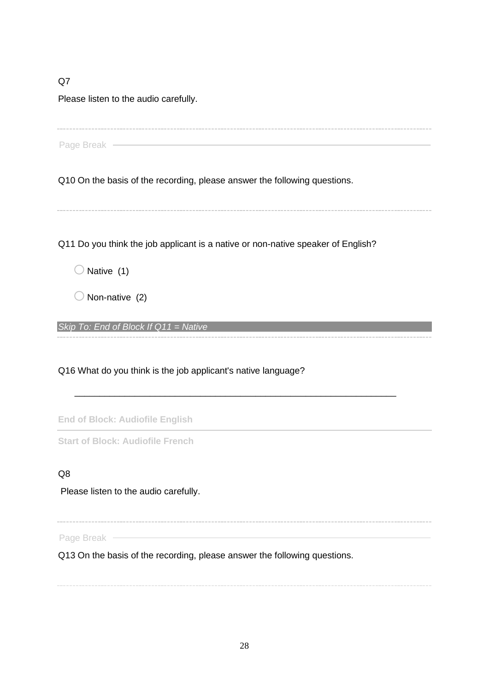Q7

Please listen to the audio carefully.

Page Break -

Q10 On the basis of the recording, please answer the following questions.

Q11 Do you think the job applicant is a native or non-native speaker of English?

 $\bigcirc$  Native (1)

 $\bigcirc$  Non-native (2)

*Skip To: End of Block If Q11 = Native*

Q16 What do you think is the job applicant's native language?

**End of Block: Audiofile English**

**Start of Block: Audiofile French**

#### Q8

Please listen to the audio carefully.

\_\_\_\_\_\_\_\_\_\_\_\_\_\_\_\_\_\_\_\_\_\_\_\_\_\_\_\_\_\_\_\_\_\_\_\_\_\_\_\_\_\_\_\_\_\_\_\_\_\_\_\_\_\_\_\_\_\_\_\_\_\_\_\_

Page Break ————

Q13 On the basis of the recording, please answer the following questions.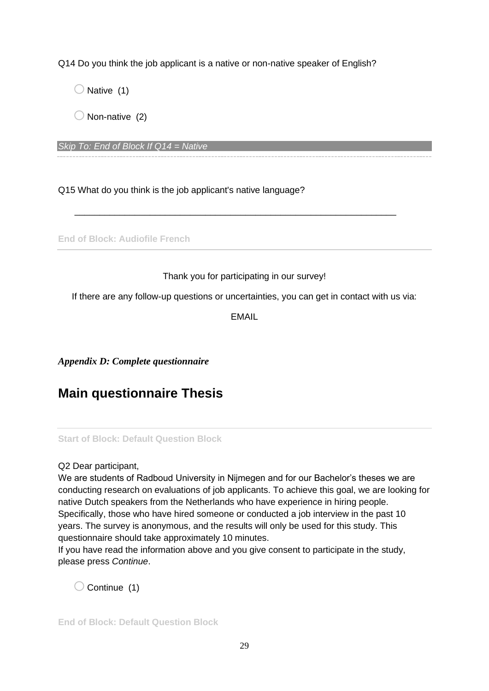Q14 Do you think the job applicant is a native or non-native speaker of English?

 $\bigcirc$  Native (1)

 $\bigcirc$  Non-native (2)

*Skip To: End of Block If Q14 = Native*

Q15 What do you think is the job applicant's native language?

**End of Block: Audiofile French**

#### Thank you for participating in our survey!

\_\_\_\_\_\_\_\_\_\_\_\_\_\_\_\_\_\_\_\_\_\_\_\_\_\_\_\_\_\_\_\_\_\_\_\_\_\_\_\_\_\_\_\_\_\_\_\_\_\_\_\_\_\_\_\_\_\_\_\_\_\_\_\_

If there are any follow-up questions or uncertainties, you can get in contact with us via:

EMAIL

<span id="page-28-0"></span>*Appendix D: Complete questionnaire*

## **Main questionnaire Thesis**

**Start of Block: Default Question Block**

#### Q2 Dear participant,

We are students of Radboud University in Nijmegen and for our Bachelor's theses we are conducting research on evaluations of job applicants. To achieve this goal, we are looking for native Dutch speakers from the Netherlands who have experience in hiring people. Specifically, those who have hired someone or conducted a job interview in the past 10 years. The survey is anonymous, and the results will only be used for this study. This questionnaire should take approximately 10 minutes.

If you have read the information above and you give consent to participate in the study, please press *Continue*.

 $\bigcirc$  Continue (1)

**End of Block: Default Question Block**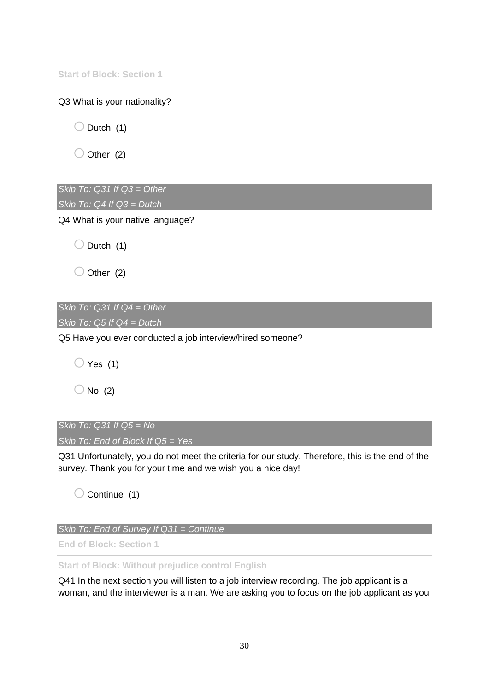**Start of Block: Section 1**

Q3 What is your nationality?

 $\bigcirc$  Dutch (1)

 $\bigcirc$  Other (2)

*Skip To: Q31 If Q3 = Other Skip To: Q4 If Q3 = Dutch*

Q4 What is your native language?

 $\bigcirc$  Dutch (1)

 $\bigcirc$  Other (2)

*Skip To: Q31 If Q4 = Other Skip To: Q5 If Q4 = Dutch*

Q5 Have you ever conducted a job interview/hired someone?

 $\bigcirc$  Yes (1)

 $\bigcirc$  No (2)

*Skip To: Q31 If Q5 = No Skip To: End of Block If Q5 = Yes*

Q31 Unfortunately, you do not meet the criteria for our study. Therefore, this is the end of the survey. Thank you for your time and we wish you a nice day!

 $\bigcirc$  Continue (1)

*Skip To: End of Survey If Q31 = Continue*

**End of Block: Section 1**

**Start of Block: Without prejudice control English**

Q41 In the next section you will listen to a job interview recording. The job applicant is a woman, and the interviewer is a man. We are asking you to focus on the job applicant as you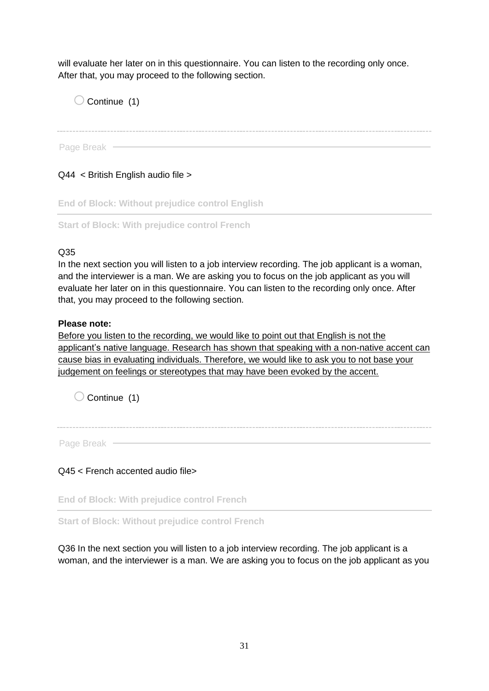will evaluate her later on in this questionnaire. You can listen to the recording only once. After that, you may proceed to the following section.

 $\bigcirc$  Continue (1)

Page Break -

Q44 < British English audio file >

**End of Block: Without prejudice control English**

**Start of Block: With prejudice control French**

#### Q35

In the next section you will listen to a job interview recording. The job applicant is a woman, and the interviewer is a man. We are asking you to focus on the job applicant as you will evaluate her later on in this questionnaire. You can listen to the recording only once. After that, you may proceed to the following section.

#### **Please note:**

Page Break

Before you listen to the recording, we would like to point out that English is not the applicant's native language. Research has shown that speaking with a non-native accent can cause bias in evaluating individuals. Therefore, we would like to ask you to not base your judgement on feelings or stereotypes that may have been evoked by the accent.

 $\bigcirc$  Continue (1)

Q45 < French accented audio file>

**End of Block: With prejudice control French**

**Start of Block: Without prejudice control French**

Q36 In the next section you will listen to a job interview recording. The job applicant is a woman, and the interviewer is a man. We are asking you to focus on the job applicant as you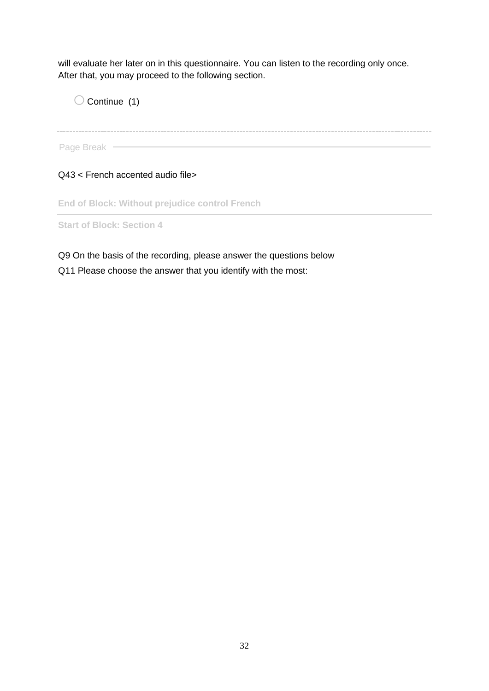will evaluate her later on in this questionnaire. You can listen to the recording only once. After that, you may proceed to the following section.

 $\bigcirc$  Continue (1)

Page Break -

Q43 < French accented audio file>

**End of Block: Without prejudice control French**

**Start of Block: Section 4**

Q9 On the basis of the recording, please answer the questions below Q11 Please choose the answer that you identify with the most: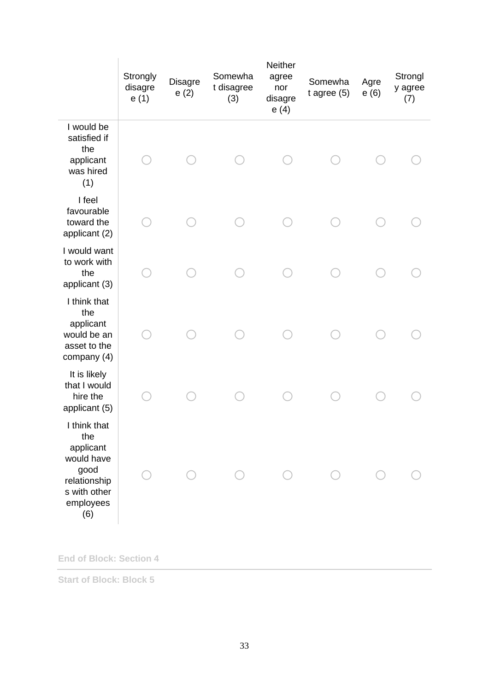|                                                                                                            | Strongly<br>disagre<br>e(1) | Disagre<br>e(2) | Somewha<br>t disagree<br>(3) | <b>Neither</b><br>agree<br>nor<br>disagre<br>e(4) | Somewha<br>$t$ agree $(5)$ | Agre<br>e(6) | Strongl<br>y agree<br>(7) |
|------------------------------------------------------------------------------------------------------------|-----------------------------|-----------------|------------------------------|---------------------------------------------------|----------------------------|--------------|---------------------------|
| I would be<br>satisfied if<br>the<br>applicant<br>was hired<br>(1)                                         |                             |                 |                              |                                                   |                            |              |                           |
| I feel<br>favourable<br>toward the<br>applicant (2)                                                        |                             |                 |                              |                                                   |                            |              |                           |
| I would want<br>to work with<br>the<br>applicant (3)                                                       |                             |                 |                              |                                                   |                            |              |                           |
| I think that<br>the<br>applicant<br>would be an<br>asset to the<br>company (4)                             |                             |                 |                              |                                                   |                            |              |                           |
| It is likely<br>that I would<br>hire the<br>applicant (5)                                                  |                             |                 |                              |                                                   |                            |              |                           |
| I think that<br>the<br>applicant<br>would have<br>good<br>relationship<br>s with other<br>employees<br>(6) |                             |                 |                              |                                                   |                            |              |                           |

**End of Block: Section 4**

**Start of Block: Block 5**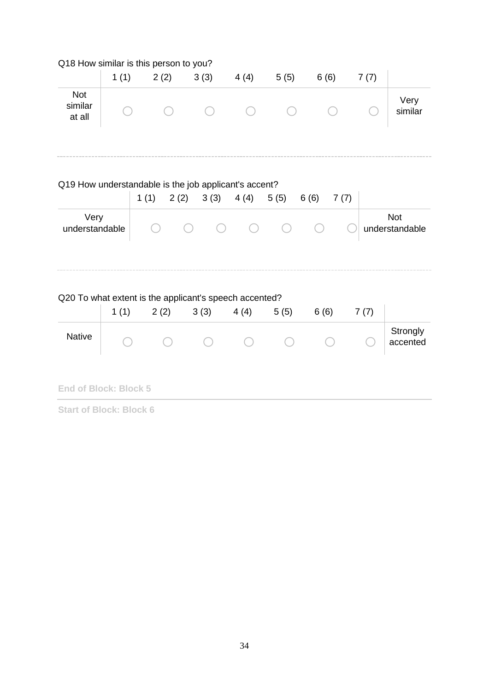|                                 |      | Q18 How similar is this person to you?                         |               |      |      |              |      |                              |
|---------------------------------|------|----------------------------------------------------------------|---------------|------|------|--------------|------|------------------------------|
|                                 | 1(1) | 2(2)                                                           | 3(3)          | 4(4) | 5(5) | 6(6)         | 7(7) |                              |
| <b>Not</b><br>similar<br>at all |      |                                                                |               |      |      |              |      | Very<br>similar              |
|                                 |      | Q19 How understandable is the job applicant's accent?<br>1(1)  | $2(2)$ $3(3)$ | 4(4) | 5(5) | 7(7)<br>6(6) |      |                              |
| Very<br>understandable          |      |                                                                |               |      |      |              |      | <b>Not</b><br>understandable |
|                                 | 1(1) | Q20 To what extent is the applicant's speech accented?<br>2(2) | 3(3)          | 4(4) | 5(5) | 6(6)         | 7(7) |                              |
| <b>Native</b>                   |      |                                                                |               |      |      |              |      | Strongly<br>accented         |
| <b>End of Block: Block 5</b>    |      |                                                                |               |      |      |              |      |                              |

**Start of Block: Block 6**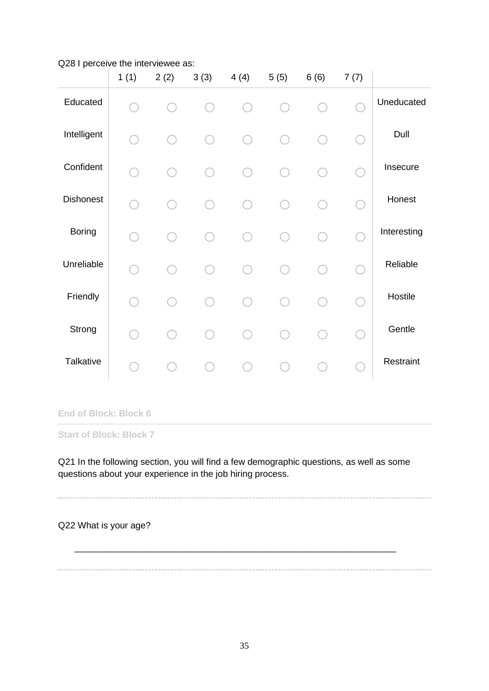#### Q28 I perceive the interviewee as:

|                  | 1(1) | 2(2)   | 3(3) | 4(4) | 5(5) | 6(6) | 7(7) |             |
|------------------|------|--------|------|------|------|------|------|-------------|
| Educated         |      |        |      |      |      |      |      | Uneducated  |
| Intelligent      |      | $\sim$ |      |      |      |      |      | Dull        |
| Confident        |      |        |      |      |      |      |      | Insecure    |
| <b>Dishonest</b> |      |        |      |      |      |      |      | Honest      |
| <b>Boring</b>    |      |        |      |      |      |      |      | Interesting |
| Unreliable       |      |        |      |      |      |      |      | Reliable    |
| Friendly         |      |        |      |      |      |      |      | Hostile     |
| Strong           |      |        |      |      |      |      |      | Gentle      |
| Talkative        |      |        |      |      |      |      |      | Restraint   |

**End of Block: Block 6**

**Start of Block: Block 7**

Q21 In the following section, you will find a few demographic questions, as well as some questions about your experience in the job hiring process.

Q22 What is your age?

\_\_\_\_\_\_\_\_\_\_\_\_\_\_\_\_\_\_\_\_\_\_\_\_\_\_\_\_\_\_\_\_\_\_\_\_\_\_\_\_\_\_\_\_\_\_\_\_\_\_\_\_\_\_\_\_\_\_\_\_\_\_\_\_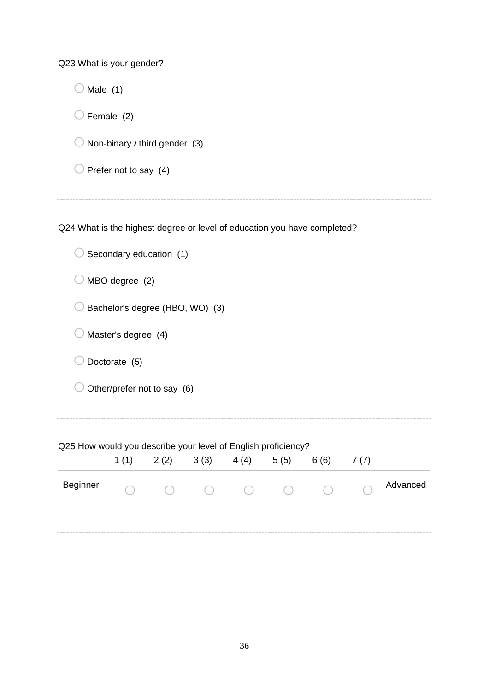Q23 What is your gender?

| Male $(1)$                               |
|------------------------------------------|
| $\bigcirc$ Female (2)                    |
| $\bigcirc$ Non-binary / third gender (3) |
| $\bigcirc$ Prefer not to say (4)         |
|                                          |

Q24 What is the highest degree or level of education you have completed?

 $\bigcirc$  Secondary education (1)

 $\bigcirc$  MBO degree (2)

 $\bigcirc$  Bachelor's degree (HBO, WO) (3)

 $\bigcirc$  Master's degree (4)

 $\bigcirc$  Doctorate (5)

 $\bigcirc$  Other/prefer not to say (6)

Q25 How would you describe your level of English proficiency?

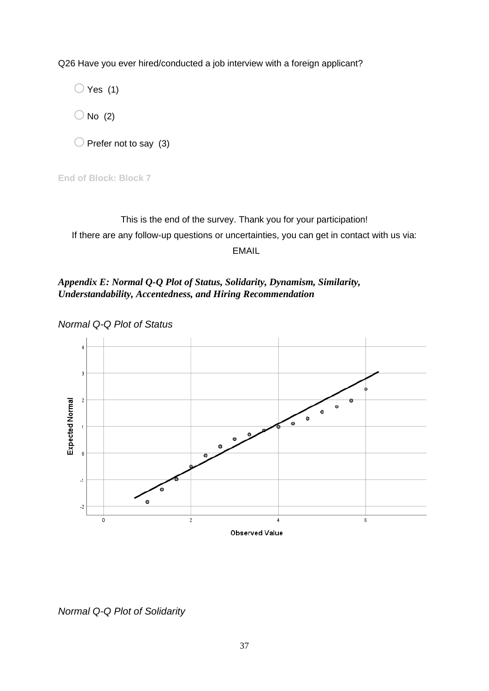Q26 Have you ever hired/conducted a job interview with a foreign applicant?

 $\bigcirc$  Yes (1)

 $\bigcirc$  No (2)

 $\bigcirc$  Prefer not to say (3)

**End of Block: Block 7**

This is the end of the survey. Thank you for your participation! If there are any follow-up questions or uncertainties, you can get in contact with us via: EMAIL

<span id="page-36-0"></span>*Appendix E: Normal Q-Q Plot of Status, Solidarity, Dynamism, Similarity, Understandability, Accentedness, and Hiring Recommendation*

*Normal Q-Q Plot of Status*



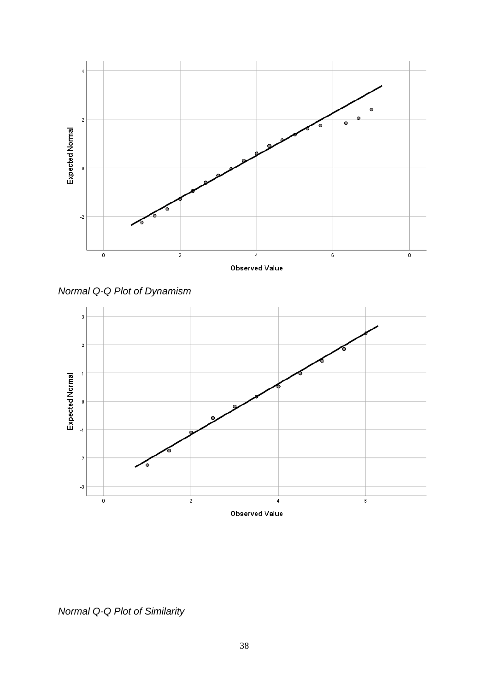

*Normal Q-Q Plot of Dynamism*



*Normal Q-Q Plot of Similarity*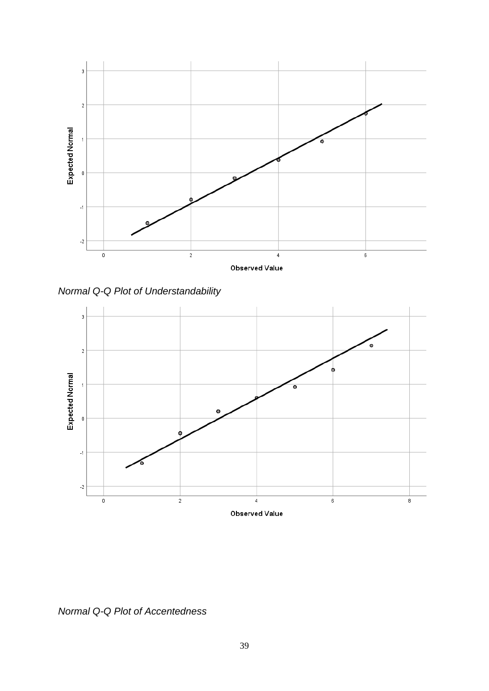

*Normal Q-Q Plot of Understandability*



*Normal Q-Q Plot of Accentedness*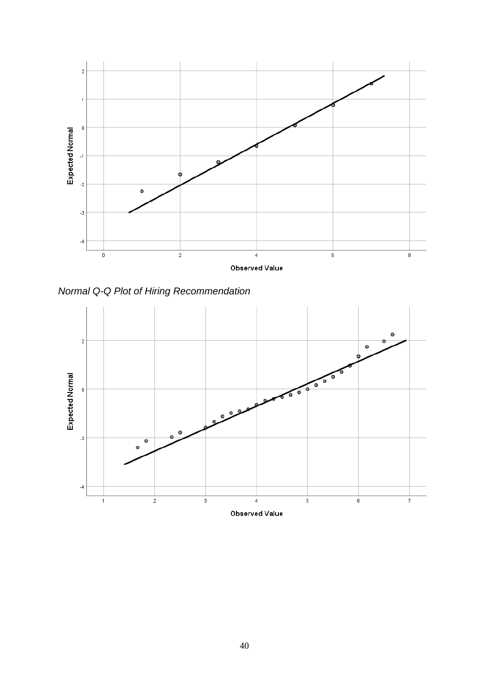

*Normal Q-Q Plot of Hiring Recommendation*